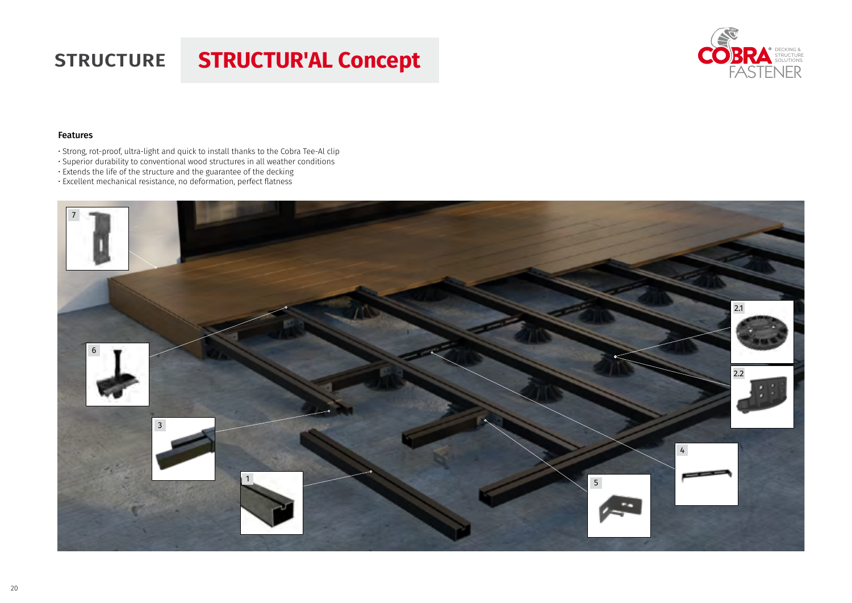## **STRUCTURE STRUCTUR'AL Concept**



## Features

- Strong, rot-proof, ultra-light and quick to install thanks to the Cobra Tee-Al clip
- Superior durability to conventional wood structures in all weather conditions
- Extends the life of the structure and the guarantee of the decking
- Excellent mechanical resistance, no deformation, perfect flatness